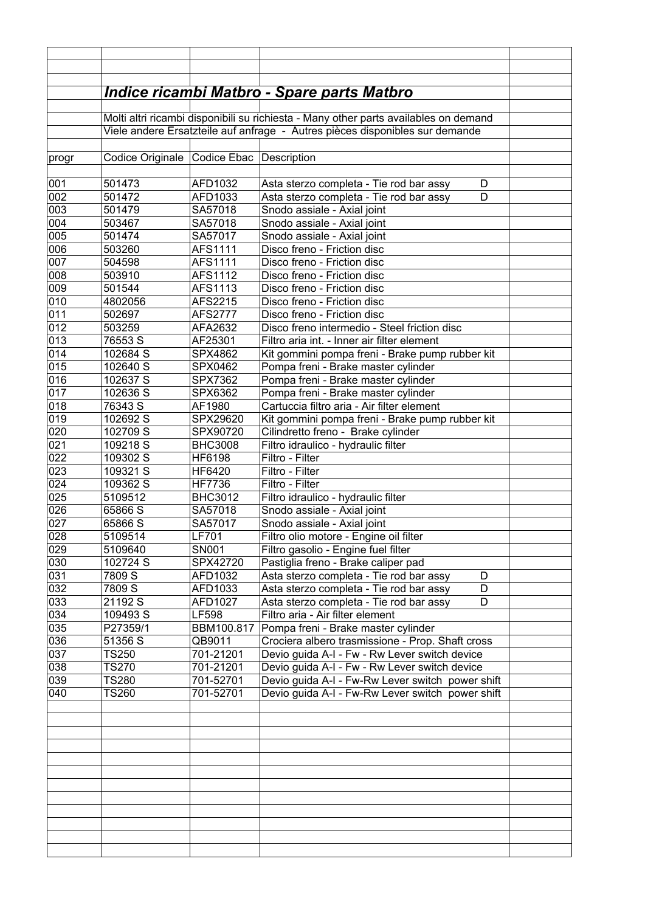|            |                                                                              |                         | Indice ricambi Matbro - Spare parts Matbro                                              |  |  |
|------------|------------------------------------------------------------------------------|-------------------------|-----------------------------------------------------------------------------------------|--|--|
|            |                                                                              |                         |                                                                                         |  |  |
|            |                                                                              |                         | Molti altri ricambi disponibili su richiesta - Many other parts availables on demand    |  |  |
|            | Viele andere Ersatzteile auf anfrage - Autres pièces disponibles sur demande |                         |                                                                                         |  |  |
|            |                                                                              |                         |                                                                                         |  |  |
| progr      | Codice Originale                                                             | Codice Ebac Description |                                                                                         |  |  |
|            |                                                                              |                         |                                                                                         |  |  |
| 001        | 501473                                                                       | AFD1032                 | Asta sterzo completa - Tie rod bar assy<br>D                                            |  |  |
| 002        | 501472                                                                       | AFD1033                 | Asta sterzo completa - Tie rod bar assy<br>D                                            |  |  |
| 003        | 501479                                                                       | SA57018                 | Snodo assiale - Axial joint                                                             |  |  |
| 004        | 503467                                                                       | SA57018                 | Snodo assiale - Axial joint                                                             |  |  |
| 005        | 501474                                                                       | SA57017                 | Snodo assiale - Axial joint                                                             |  |  |
| 006        | 503260                                                                       | AFS1111                 | Disco freno - Friction disc                                                             |  |  |
| 007        | 504598                                                                       | AFS1111                 | Disco freno - Friction disc                                                             |  |  |
| 008        | 503910                                                                       | AFS1112                 | Disco freno - Friction disc                                                             |  |  |
| 009        | 501544                                                                       | AFS1113                 | Disco freno - Friction disc                                                             |  |  |
| 010        | 4802056                                                                      | AFS2215                 | Disco freno - Friction disc                                                             |  |  |
| 011        | 502697                                                                       | AFS2777                 | Disco freno - Friction disc                                                             |  |  |
| 012        | 503259                                                                       | AFA2632                 | Disco freno intermedio - Steel friction disc                                            |  |  |
| 013        | 76553 S                                                                      | AF25301                 | Filtro aria int. - Inner air filter element                                             |  |  |
| 014        | 102684 S                                                                     | SPX4862                 | Kit gommini pompa freni - Brake pump rubber kit                                         |  |  |
| 015        | 102640 S                                                                     | SPX0462                 | Pompa freni - Brake master cylinder                                                     |  |  |
| 016        | 102637 S                                                                     | SPX7362                 | Pompa freni - Brake master cylinder                                                     |  |  |
| 017        | 102636 S                                                                     | SPX6362                 | Pompa freni - Brake master cylinder                                                     |  |  |
| 018        | 76343 S                                                                      | AF1980                  | Cartuccia filtro aria - Air filter element                                              |  |  |
| 019        | 102692 S                                                                     | SPX29620                | Kit gommini pompa freni - Brake pump rubber kit                                         |  |  |
| 020        | 102709 S                                                                     | SPX90720                | Cilindretto freno - Brake cylinder                                                      |  |  |
| 021        | 109218 S                                                                     | <b>BHC3008</b>          | Filtro idraulico - hydraulic filter                                                     |  |  |
| 022        | 109302 S                                                                     | HF6198                  | Filtro - Filter                                                                         |  |  |
| 023        | 109321 S                                                                     | HF6420                  | Filtro - Filter                                                                         |  |  |
| 024        | 109362 S                                                                     | HF7736                  | Filtro - Filter                                                                         |  |  |
| 025        | 5109512                                                                      | <b>BHC3012</b>          | Filtro idraulico - hydraulic filter                                                     |  |  |
| 026        | 65866 S                                                                      | SA57018                 | Snodo assiale - Axial joint                                                             |  |  |
| 027        | 65866 S                                                                      | SA57017                 | Snodo assiale - Axial joint                                                             |  |  |
| 028        | 5109514                                                                      | <b>LF701</b>            | Filtro olio motore - Engine oil filter                                                  |  |  |
| 029        | 5109640                                                                      | SN001                   | Filtro gasolio - Engine fuel filter                                                     |  |  |
| 030        | 102724 S                                                                     | SPX42720                | Pastiglia freno - Brake caliper pad                                                     |  |  |
| 031        | 7809 S                                                                       | AFD1032                 | Asta sterzo completa - Tie rod bar assy<br>D                                            |  |  |
| 032        | 7809 S                                                                       | AFD1033                 | Asta sterzo completa - Tie rod bar assy<br>D                                            |  |  |
| 033        | $\overline{2}$ 1192 S                                                        | AFD1027                 | Asta sterzo completa - Tie rod bar assy<br>D                                            |  |  |
| 034        | 109493 S                                                                     | <b>LF598</b>            | Filtro aria - Air filter element                                                        |  |  |
| 035<br>036 | P27359/1<br>51356 S                                                          | BBM100.817<br>QB9011    | Pompa freni - Brake master cylinder<br>Crociera albero trasmissione - Prop. Shaft cross |  |  |
| 037        | <b>TS250</b>                                                                 | 701-21201               | Devio guida A-I - Fw - Rw Lever switch device                                           |  |  |
| 038        | <b>TS270</b>                                                                 | 701-21201               | Devio guida A-I - Fw - Rw Lever switch device                                           |  |  |
| 039        | TS280                                                                        | 701-52701               | Devio guida A-I - Fw-Rw Lever switch power shift                                        |  |  |
| 040        | TS260                                                                        | 701-52701               | Devio guida A-I - Fw-Rw Lever switch power shift                                        |  |  |
|            |                                                                              |                         |                                                                                         |  |  |
|            |                                                                              |                         |                                                                                         |  |  |
|            |                                                                              |                         |                                                                                         |  |  |
|            |                                                                              |                         |                                                                                         |  |  |
|            |                                                                              |                         |                                                                                         |  |  |
|            |                                                                              |                         |                                                                                         |  |  |
|            |                                                                              |                         |                                                                                         |  |  |
|            |                                                                              |                         |                                                                                         |  |  |
|            |                                                                              |                         |                                                                                         |  |  |
|            |                                                                              |                         |                                                                                         |  |  |
|            |                                                                              |                         |                                                                                         |  |  |
|            |                                                                              |                         |                                                                                         |  |  |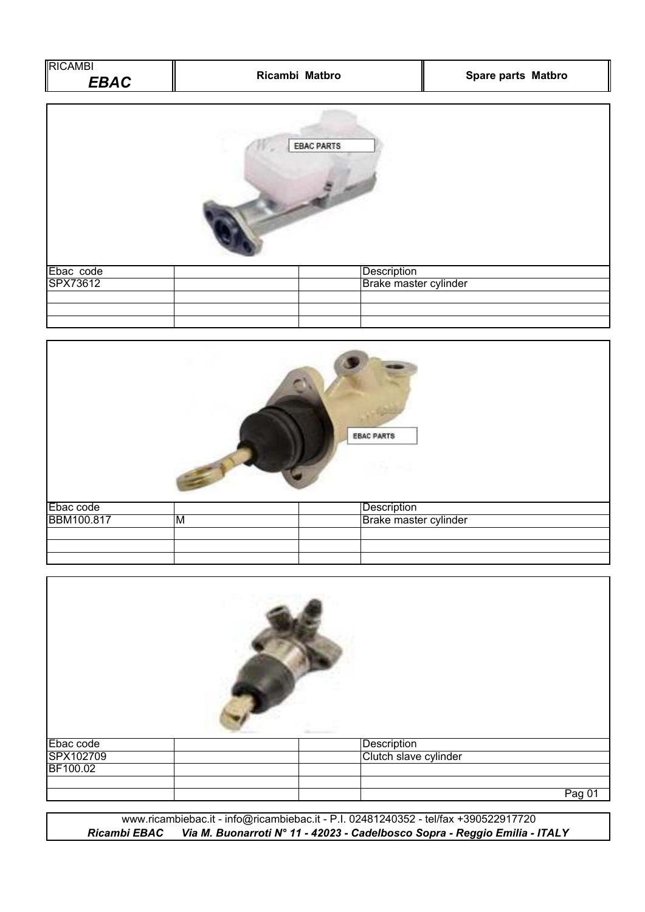| <b>RICAMBI</b><br><b>EBAC</b> | Ricambi Matbro | <b>Spare parts Matbro</b> |  |
|-------------------------------|----------------|---------------------------|--|
|                               |                |                           |  |



| Ebac code |  | Description           |
|-----------|--|-----------------------|
| SPX73612  |  | Brake master cylinder |
|           |  |                       |
|           |  |                       |
|           |  |                       |



| Ebac code | Description           |
|-----------|-----------------------|
| SPX102709 | Clutch slave cylinder |
| BF100.02  |                       |
|           | Pag 01                |

*Ricambi EBAC Via M. Buonarroti N° 11 - 42023 - Cadelbosco Sopra - Reggio Emilia - ITALY* www.ricambiebac.it - info@ricambiebac.it - P.I. 02481240352 - tel/fax +390522917720